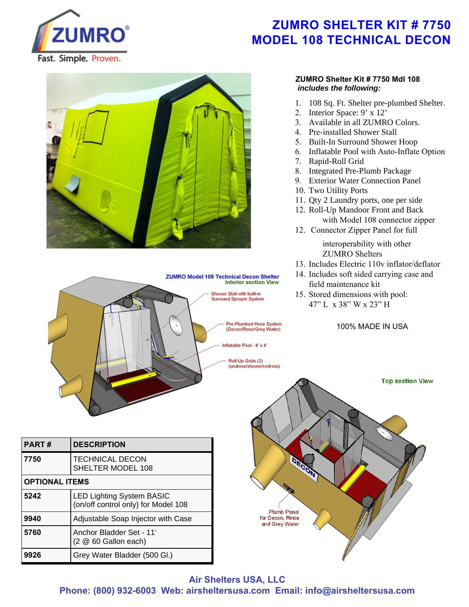

# **ZUMRO SHELTER KIT # 7750 MODEL 108 TECHNICAL DECON**





| <b>PART#</b>          | <b>DESCRIPTION</b>                                                      |
|-----------------------|-------------------------------------------------------------------------|
| 7750                  | <b>TECHNICAL DECON</b><br>SHELTER MODEL 108                             |
| <b>OPTIONAL ITEMS</b> |                                                                         |
| 5242                  | <b>LED Lighting System BASIC</b><br>(on/off control only) for Model 108 |
| 9940                  | Adjustable Soap Injector with Case                                      |
| 5760                  | Anchor Bladder Set - 11'<br>$(2 \t@ 60$ Gallon each)                    |
| 9926                  | Grey Water Bladder (500 Gl.)                                            |

#### **ZUMRO Shelter Kit # 7750 Mdl 108**  *includes the following:*

- 1. 108 Sq. Ft. Shelter pre-plumbed Shelter.
- 2. Interior Space: 9' x 12'
- 3. Available in all ZUMRO Colors.
- 4. Pre-installed Shower Stall
- 5. Built-In Surround Shower Hoop
- 6. Inflatable Pool with Auto-Inflate Option
- 7. Rapid-Roll Grid
- 8. Integrated Pre-Plumb Package
- 9. Exterior Water Connection Panel
- 10. Two Utility Ports
- 11. Qty 2 Laundry ports, one per side
- 12. Roll-Up Mandoor Front and Back with Model 108 connector zipper
- 12. Connector Zipper Panel for full interoperability with other
- ZUMRO Shelters
- 13. Includes Electric 110v inflator/deflator
- 14. Includes soft sided carrying case and field maintenance kit
- 15. Stored dimensions with pool: 47" L x 38" W x 23" H

100% MADE IN USA



**Air Shelters USA, LLC**

**Phone: (800) 932-6003 Web: airsheltersusa.com Email: info@airsheltersusa.com**